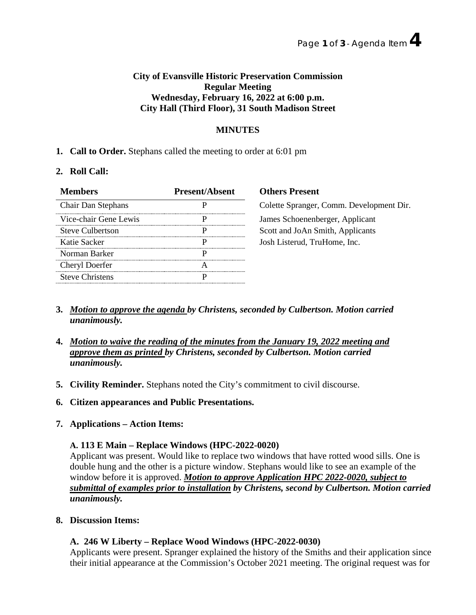## **City of Evansville Historic Preservation Commission Regular Meeting Wednesday, February 16, 2022 at 6:00 p.m. City Hall (Third Floor), 31 South Madison Street**

# **MINUTES**

## **1. Call to Order.** Stephans called the meeting to order at 6:01 pm

## **2. Roll Call:**

| <b>Members</b>          | <b>Present/Absent</b> | <b>Others Present</b> |
|-------------------------|-----------------------|-----------------------|
| Chair Dan Stephans      |                       | Colette Spranger,     |
| Vice-chair Gene Lewis   |                       | James Schoenenb       |
| <b>Steve Culbertson</b> |                       | Scott and JoAn St     |
| Katie Sacker            |                       | Josh Listerud, Tru    |
| Norman Barker           |                       |                       |
| Cheryl Doerfer          |                       |                       |
| <b>Steve Christens</b>  |                       |                       |

# olette Spranger, Comm. Development Dir. ames Schoenenberger, Applicant cott and JoAn Smith, Applicants osh Listerud, TruHome, Inc.

- **3.** *Motion to approve the agenda by Christens, seconded by Culbertson. Motion carried unanimously.*
- **4.** *Motion to waive the reading of the minutes from the January 19, 2022 meeting and approve them as printed by Christens, seconded by Culbertson. Motion carried unanimously.*
- **5. Civility Reminder.** Stephans noted the City's commitment to civil discourse.
- **6. Citizen appearances and Public Presentations.**
- **7. Applications – Action Items:**

#### **A. 113 E Main – Replace Windows (HPC-2022-0020)**

Applicant was present. Would like to replace two windows that have rotted wood sills. One is double hung and the other is a picture window. Stephans would like to see an example of the window before it is approved. *Motion to approve Application HPC 2022-0020, subject to submittal of examples prior to installation by Christens, second by Culbertson. Motion carried unanimously.*

**8. Discussion Items:**

## **A. 246 W Liberty – Replace Wood Windows (HPC-2022-0030)**

Applicants were present. Spranger explained the history of the Smiths and their application since their initial appearance at the Commission's October 2021 meeting. The original request was for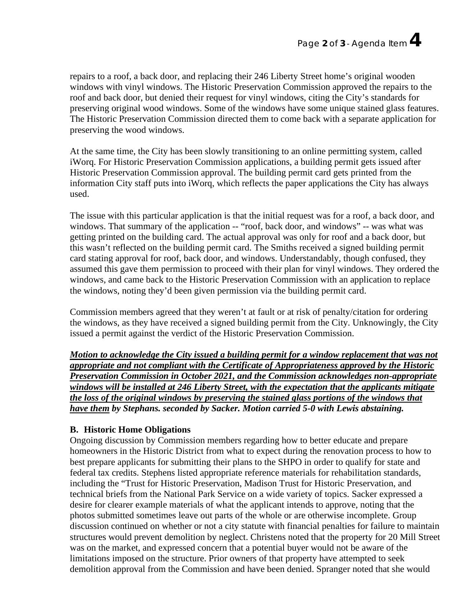repairs to a roof, a back door, and replacing their 246 Liberty Street home's original wooden windows with vinyl windows. The Historic Preservation Commission approved the repairs to the roof and back door, but denied their request for vinyl windows, citing the City's standards for preserving original wood windows. Some of the windows have some unique stained glass features. The Historic Preservation Commission directed them to come back with a separate application for preserving the wood windows.

At the same time, the City has been slowly transitioning to an online permitting system, called iWorq. For Historic Preservation Commission applications, a building permit gets issued after Historic Preservation Commission approval. The building permit card gets printed from the information City staff puts into iWorq, which reflects the paper applications the City has always used.

The issue with this particular application is that the initial request was for a roof, a back door, and windows. That summary of the application -- "roof, back door, and windows" -- was what was getting printed on the building card. The actual approval was only for roof and a back door, but this wasn't reflected on the building permit card. The Smiths received a signed building permit card stating approval for roof, back door, and windows. Understandably, though confused, they assumed this gave them permission to proceed with their plan for vinyl windows. They ordered the windows, and came back to the Historic Preservation Commission with an application to replace the windows, noting they'd been given permission via the building permit card.

Commission members agreed that they weren't at fault or at risk of penalty/citation for ordering the windows, as they have received a signed building permit from the City. Unknowingly, the City issued a permit against the verdict of the Historic Preservation Commission.

*Motion to acknowledge the City issued a building permit for a window replacement that was not appropriate and not compliant with the Certificate of Appropriateness approved by the Historic Preservation Commission in October 2021, and the Commission acknowledges non-appropriate windows will be installed at 246 Liberty Street, with the expectation that the applicants mitigate the loss of the original windows by preserving the stained glass portions of the windows that have them by Stephans. seconded by Sacker. Motion carried 5-0 with Lewis abstaining.*

## **B. Historic Home Obligations**

Ongoing discussion by Commission members regarding how to better educate and prepare homeowners in the Historic District from what to expect during the renovation process to how to best prepare applicants for submitting their plans to the SHPO in order to qualify for state and federal tax credits. Stephens listed appropriate reference materials for rehabilitation standards, including the "Trust for Historic Preservation, Madison Trust for Historic Preservation, and technical briefs from the National Park Service on a wide variety of topics. Sacker expressed a desire for clearer example materials of what the applicant intends to approve, noting that the photos submitted sometimes leave out parts of the whole or are otherwise incomplete. Group discussion continued on whether or not a city statute with financial penalties for failure to maintain structures would prevent demolition by neglect. Christens noted that the property for 20 Mill Street was on the market, and expressed concern that a potential buyer would not be aware of the limitations imposed on the structure. Prior owners of that property have attempted to seek demolition approval from the Commission and have been denied. Spranger noted that she would